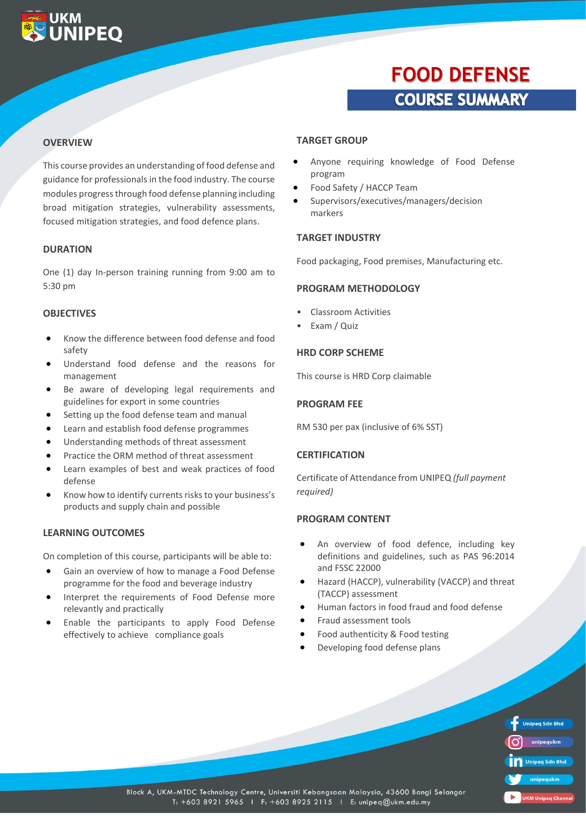### **UKM UNIPEO**

## **FOOD DEFENSE COURSE SUMMARY**

#### **OVERVIEW**

This course provides an understanding of food defense and guidance for professionals in the food industry. The course modules progress through food defense planning including broad mitigation strategies, vulnerability assessments, focused mitigation strategies, and food defence plans.

#### **DURATION**

One (1) day In-person training running from 9:00 am to 5:30 pm

#### **OBJECTIVES**

- Know the difference between food defense and food safety
- Understand food defense and the reasons for management
- Be aware of developing legal requirements and guidelines for export in some countries
- Setting up the food defense team and manual
- Learn and establish food defense programmes
- Understanding methods of threat assessment
- Practice the ORM method of threat assessment
- Learn examples of best and weak practices of food defense
- Know how to identify currents risks to your business's products and supply chain and possible

#### **LEARNING OUTCOMES**

On completion of this course, participants will be able to:

- Gain an overview of how to manage a Food Defense programme for the food and beverage industry
- Interpret the requirements of Food Defense more relevantly and practically
- Enable the participants to apply Food Defense effectively to achieve compliance goals

#### **TARGET GROUP**

- Anyone requiring knowledge of Food Defense program
- Food Safety / HACCP Team
- Supervisors/executives/managers/decision markers

#### **TARGET INDUSTRY**

Food packaging, Food premises, Manufacturing etc.

#### **PROGRAM METHODOLOGY**

- Classroom Activities
- Exam / Quiz

#### **HRD CORP SCHEME**

This course is HRD Corp claimable

#### **PROGRAM FEE**

RM 530 per pax (inclusive of 6% SST)

#### **CERTIFICATION**

Certificate of Attendance from UNIPEQ *(full payment required)*

#### **PROGRAM CONTENT**

- An overview of food defence, including key definitions and guidelines, such as PAS 96:2014 and FSSC 22000
- Hazard (HACCP), vulnerability (VACCP) and threat (TACCP) assessment
- Human factors in food fraud and food defense
- Fraud assessment tools
- Food authenticity & Food testing
- Developing food defense plans

|    | <b>Unipeq Sdn Bhd</b> |
|----|-----------------------|
|    | unipequkm             |
| Πñ | <b>Unipeq Sdn Bhd</b> |
|    | unipequkm             |
|    | $M$ llninga           |